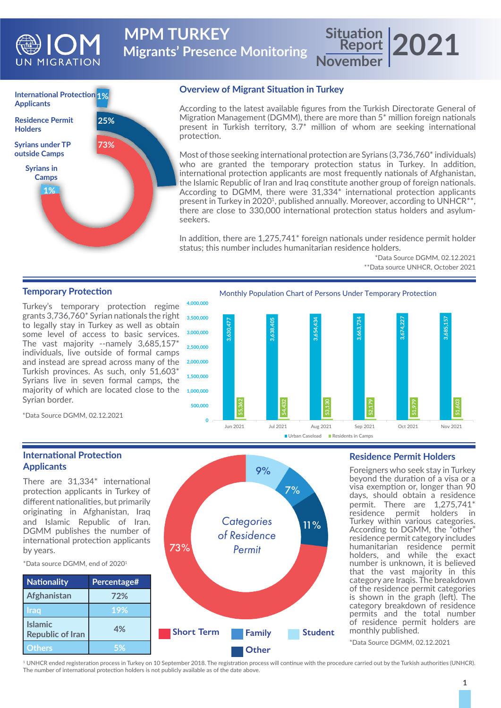

**Migrants' Presence Monitoring MPM TURKEY** 

**International Protection 1% Applicants Syrians under TP outside Camps 1% 73% 25% Syrians in Camps Residence Permit Holders**

### **Overview of Migrant Situation in Turkey**

According to the latest available figures from the Turkish Directorate General of Migration Management (DGMM), there are more than 5\* million foreign nationals present in Turkish territory, 3.7\* million of whom are seeking international protection.

Most of those seeking international protection are Syrians (3,736,760<sup>\*</sup> individuals) who are granted the temporary protection status in Turkey. In addition, international protection applicants are most frequently nationals of Afghanistan, the Islamic Republic of Iran and Iraq constitute another group of foreign nationals. According to DGMM, there were 31,334\* international protection applicants present in Turkey in 2020<sup>1</sup>, published annually. Moreover, according to UNHCR<sup>\*\*</sup>, there are close to 330,000 international protection status holders and asylumseekers.

In addition, there are 1,275,741\* foreign nationals under residence permit holder status; this number includes humanitarian residence holders.

> \*Data Source DGMM, 02.12.2021 \*\*Data source UNHCR, October 2021

**Report November 2021**

# **Temporary Protection**

Turkey's temporary protection regime grants 3,736,760\* Syrian nationals the right to legally stay in Turkey as well as obtain some level of access to basic services. The vast majority --namely 3,685,157\* individuals, live outside of formal camps and instead are spread across many of the Turkish provinces. As such, only 51,603\* Syrians live in seven formal camps, the majority of which are located close to the Syrian border.

Monthly Population Chart of Persons Under Temporary Protection



\*Data Source DGMM, 02.12.2021

# **International Protection Applicants**

There are 31,334\* international protection applicants in Turkey of different nationalities, but primarily originating in Afghanistan, Iraq and Islamic Republic of Iran. DGMM publishes the number of international protection applicants by years.

\*Data source DGMM, end of 20201



73%

**Residence Permit Holders**

Foreigners who seek stay in Turkey beyond the duration of a visa or a visa exemption or, longer than 90 days, should obtain a residence permit. There are 1,275,741\* residence permit holders in Turkey within various categories. According to DGMM, the "other" residence permit category includes humanitarian residence permit holders, and while the exact number is unknown, it is believed that the vast majority in this category are Iraqis. The breakdown of the residence permit categories is shown in the graph (left). The category breakdown of residence permits and the total number of residence permit holders are monthly published.

\*Data Source DGMM, 02.12.2021

1 UNHCR ended registeration process in Turkey on 10 September 2018. The registration process will continue with the procedure carried out by the Turkish authorities (UNHCR). The number of international protection holders is not publicly available as of the date above.

*Categories of Residence Permit*

9%

7%

11%